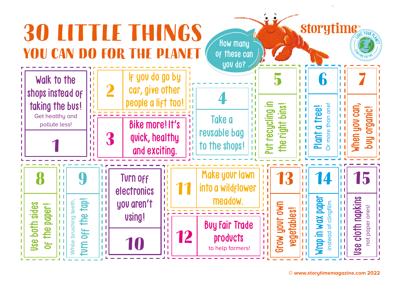